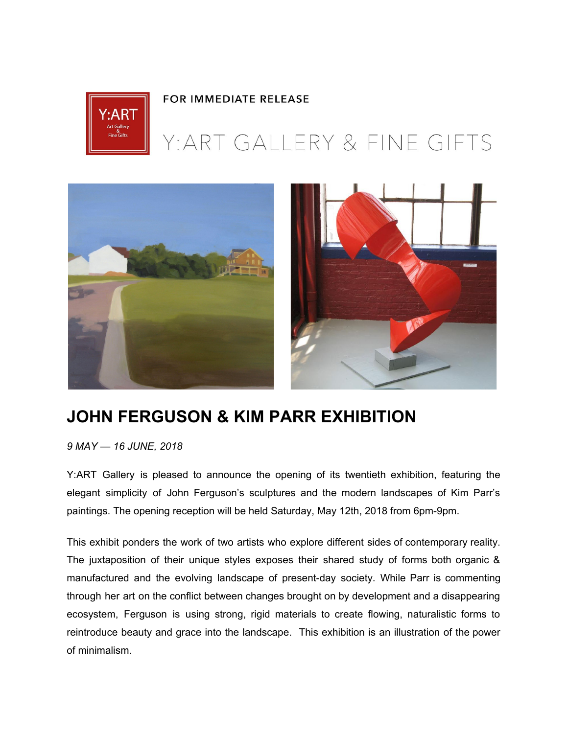

## **FOR IMMEDIATE RELEASE**

## Y: ART GALLERY & FINE GIFTS



## **JOHN FERGUSON & KIM PARR EXHIBITION**

*9 MAY — 16 JUNE, 2018*

Y:ART Gallery is pleased to announce the opening of its twentieth exhibition, featuring the elegant simplicity of John Ferguson's sculptures and the modern landscapes of Kim Parr's paintings. The opening reception will be held Saturday, May 12th, 2018 from 6pm-9pm.

This exhibit ponders the work of two artists who explore different sides of contemporary reality. The juxtaposition of their unique styles exposes their shared study of forms both organic & manufactured and the evolving landscape of present-day society. While Parr is commenting through her art on the conflict between changes brought on by development and a disappearing ecosystem, Ferguson is using strong, rigid materials to create flowing, naturalistic forms to reintroduce beauty and grace into the landscape. This exhibition is an illustration of the power of minimalism.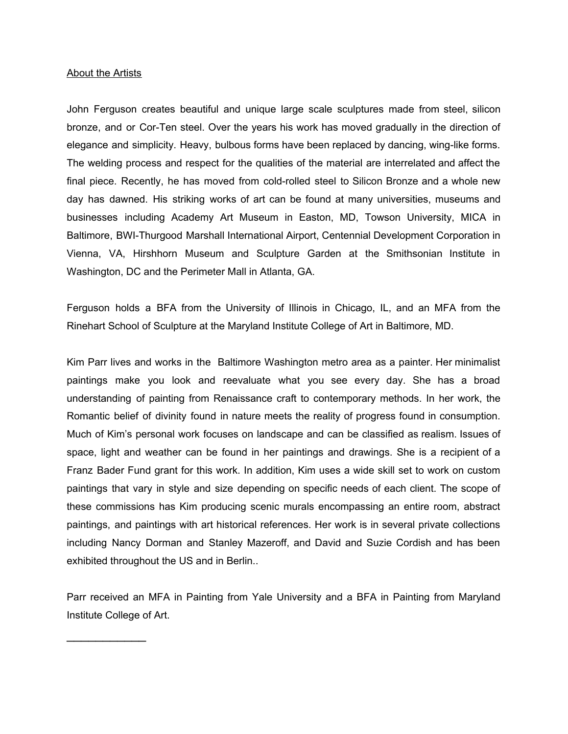## About the Artists

 $\overline{\phantom{a}}$ 

John Ferguson creates beautiful and unique large scale sculptures made from steel, silicon bronze, and or Cor-Ten steel. Over the years his work has moved gradually in the direction of elegance and simplicity. Heavy, bulbous forms have been replaced by dancing, wing-like forms. The welding process and respect for the qualities of the material are interrelated and affect the final piece. Recently, he has moved from cold-rolled steel to Silicon Bronze and a whole new day has dawned. His striking works of art can be found at many universities, museums and businesses including Academy Art Museum in Easton, MD, Towson University, MICA in Baltimore, BWI-Thurgood Marshall International Airport, Centennial Development Corporation in Vienna, VA, Hirshhorn Museum and Sculpture Garden at the Smithsonian Institute in Washington, DC and the Perimeter Mall in Atlanta, GA.

Ferguson holds a BFA from the University of Illinois in Chicago, IL, and an MFA from the Rinehart School of Sculpture at the Maryland Institute College of Art in Baltimore, MD.

Kim Parr lives and works in the Baltimore Washington metro area as a painter. Her minimalist paintings make you look and reevaluate what you see every day. She has a broad understanding of painting from Renaissance craft to contemporary methods. In her work, the Romantic belief of divinity found in nature meets the reality of progress found in consumption. Much of Kim's personal work focuses on landscape and can be classified as realism. Issues of space, light and weather can be found in her paintings and drawings. She is a recipient of a Franz Bader Fund grant for this work. In addition, Kim uses a wide skill set to work on custom paintings that vary in style and size depending on specific needs of each client. The scope of these commissions has Kim producing scenic murals encompassing an entire room, abstract paintings, and paintings with art historical references. Her work is in several private collections including Nancy Dorman and Stanley Mazeroff, and David and Suzie Cordish and has been exhibited throughout the US and in Berlin..

Parr received an MFA in Painting from Yale University and a BFA in Painting from Maryland Institute College of Art.